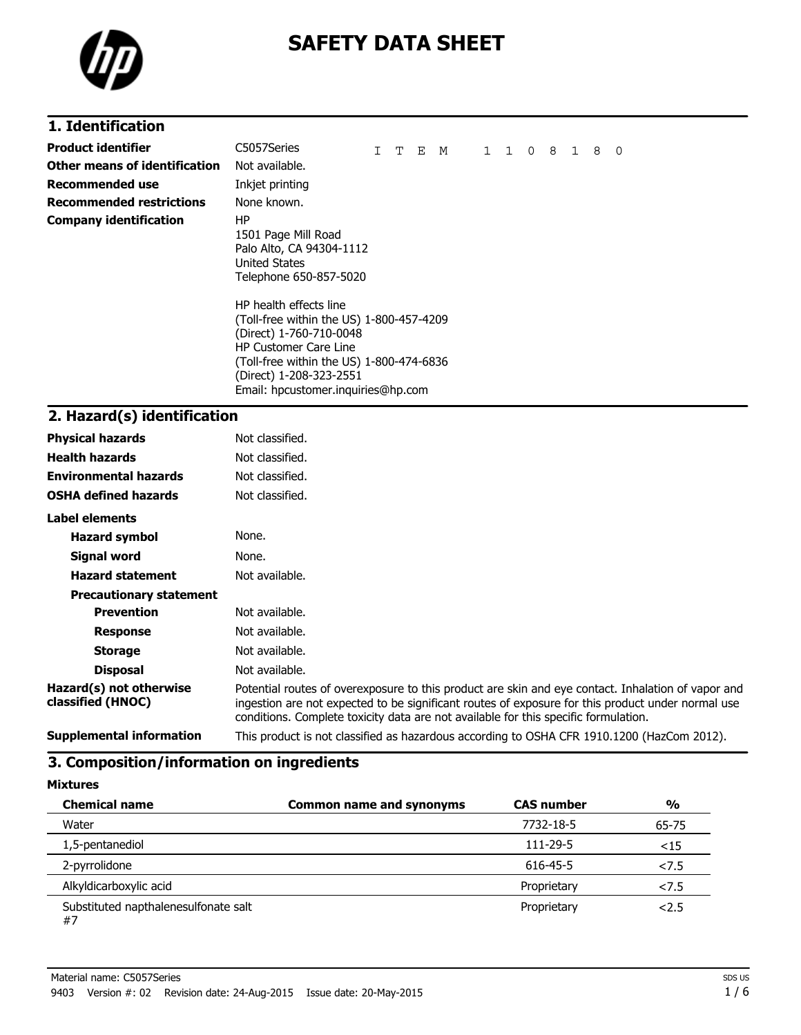

# **SAFETY DATA SHEET**

# **1. Identification**

| Product identifier            | C5057Series                                                                                                                                                                                                                                                                                                                                    | т | Е | M | $1\quad1\quad0$ | 8 | $\mathbf{1}$ | 8 | 0 |
|-------------------------------|------------------------------------------------------------------------------------------------------------------------------------------------------------------------------------------------------------------------------------------------------------------------------------------------------------------------------------------------|---|---|---|-----------------|---|--------------|---|---|
| Other means of identification | Not available.                                                                                                                                                                                                                                                                                                                                 |   |   |   |                 |   |              |   |   |
| Recommended use               | Inkjet printing                                                                                                                                                                                                                                                                                                                                |   |   |   |                 |   |              |   |   |
| Recommended restrictions      | None known.                                                                                                                                                                                                                                                                                                                                    |   |   |   |                 |   |              |   |   |
| <b>Company identification</b> | ΗP<br>1501 Page Mill Road<br>Palo Alto, CA 94304-1112<br>United States<br>Telephone 650-857-5020<br>HP health effects line<br>(Toll-free within the US) 1-800-457-4209<br>(Direct) 1-760-710-0048<br><b>HP Customer Care Line</b><br>(Toll-free within the US) 1-800-474-6836<br>(Direct) 1-208-323-2551<br>Email: hpcustomer.inguiries@hp.com |   |   |   |                 |   |              |   |   |

# **2. Hazard(s) identification**

| <b>Physical hazards</b>                      | Not classified.                                                                                                                                                                                                                                                                                |
|----------------------------------------------|------------------------------------------------------------------------------------------------------------------------------------------------------------------------------------------------------------------------------------------------------------------------------------------------|
| <b>Health hazards</b>                        | Not classified.                                                                                                                                                                                                                                                                                |
| <b>Environmental hazards</b>                 | Not classified.                                                                                                                                                                                                                                                                                |
| <b>OSHA defined hazards</b>                  | Not classified.                                                                                                                                                                                                                                                                                |
| <b>Label elements</b>                        |                                                                                                                                                                                                                                                                                                |
| <b>Hazard symbol</b>                         | None.                                                                                                                                                                                                                                                                                          |
| Signal word                                  | None.                                                                                                                                                                                                                                                                                          |
| <b>Hazard statement</b>                      | Not available.                                                                                                                                                                                                                                                                                 |
| <b>Precautionary statement</b>               |                                                                                                                                                                                                                                                                                                |
| <b>Prevention</b>                            | Not available.                                                                                                                                                                                                                                                                                 |
| <b>Response</b>                              | Not available.                                                                                                                                                                                                                                                                                 |
| <b>Storage</b>                               | Not available.                                                                                                                                                                                                                                                                                 |
| <b>Disposal</b>                              | Not available.                                                                                                                                                                                                                                                                                 |
| Hazard(s) not otherwise<br>classified (HNOC) | Potential routes of overexposure to this product are skin and eye contact. Inhalation of vapor and<br>ingestion are not expected to be significant routes of exposure for this product under normal use<br>conditions. Complete toxicity data are not available for this specific formulation. |
| <b>Supplemental information</b>              | This product is not classified as hazardous according to OSHA CFR 1910.1200 (HazCom 2012).                                                                                                                                                                                                     |

### **3. Composition/information on ingredients**

**Mixtures**

| <b>Chemical name</b>                       | <b>Common name and synonyms</b> | <b>CAS number</b> | $\frac{0}{0}$ |
|--------------------------------------------|---------------------------------|-------------------|---------------|
| Water                                      |                                 | 7732-18-5         | 65-75         |
| 1,5-pentanediol                            |                                 | 111-29-5          | $15$          |
| 2-pyrrolidone                              |                                 | 616-45-5          | 27.5          |
| Alkyldicarboxylic acid                     |                                 | Proprietary       | 27.5          |
| Substituted napthalenesulfonate salt<br>#7 |                                 | Proprietary       | 2.5           |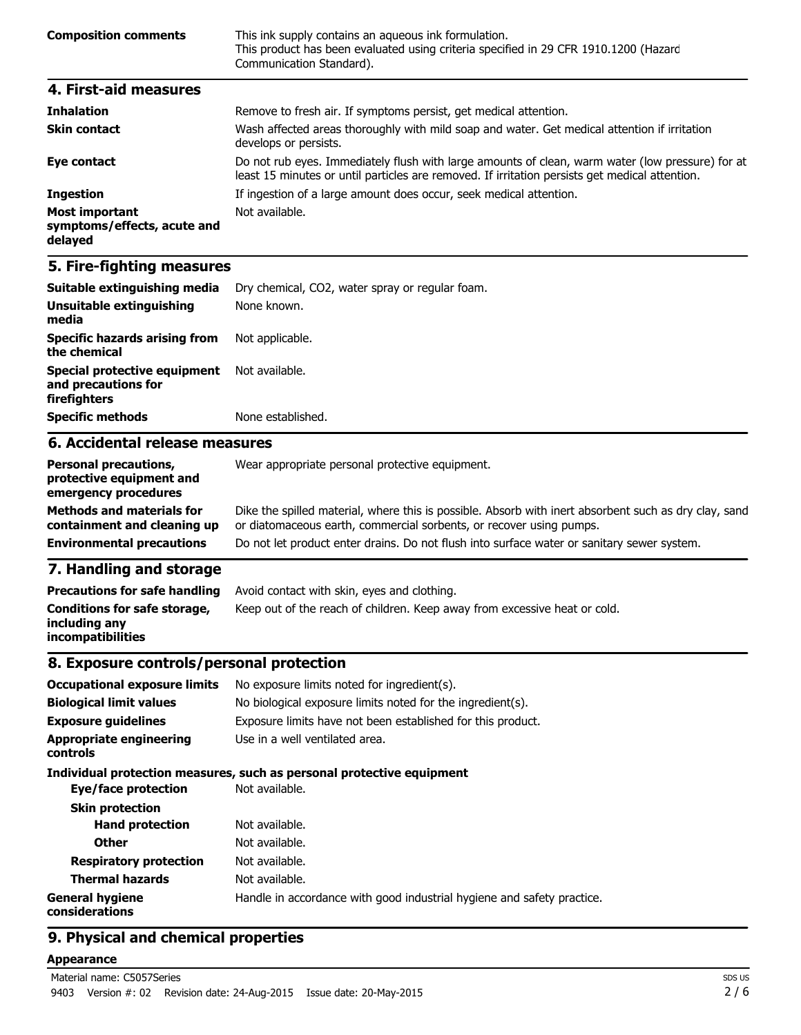| <b>Composition comments</b> | This ink supply contains an aqueous ink formulation.<br>This product has been evaluated using criteria specified in 29 CFR 1910.1200 (Hazard<br>Communication Standard). |
|-----------------------------|--------------------------------------------------------------------------------------------------------------------------------------------------------------------------|
| 4. First-aid measures       |                                                                                                                                                                          |

| <b>Inhalation</b>                                               | Remove to fresh air. If symptoms persist, get medical attention.                                                                                                                                   |
|-----------------------------------------------------------------|----------------------------------------------------------------------------------------------------------------------------------------------------------------------------------------------------|
| <b>Skin contact</b>                                             | Wash affected areas thoroughly with mild soap and water. Get medical attention if irritation<br>develops or persists.                                                                              |
| Eye contact                                                     | Do not rub eyes. Immediately flush with large amounts of clean, warm water (low pressure) for at<br>least 15 minutes or until particles are removed. If irritation persists get medical attention. |
| <b>Ingestion</b>                                                | If ingestion of a large amount does occur, seek medical attention.                                                                                                                                 |
| <b>Most important</b><br>symptoms/effects, acute and<br>delayed | Not available.                                                                                                                                                                                     |

# **5. Fire-fighting measures**

| Suitable extinguishing media                                        | Dry chemical, CO2, water spray or regular foam. |
|---------------------------------------------------------------------|-------------------------------------------------|
| Unsuitable extinguishing<br>media                                   | None known.                                     |
| <b>Specific hazards arising from</b><br>the chemical                | Not applicable.                                 |
| Special protective equipment<br>and precautions for<br>firefighters | Not available.                                  |
| <b>Specific methods</b>                                             | None established.                               |
| 6. Accidental release measures                                      |                                                 |
| <b>Dersonal precautions</b>                                         | Wear appropriate personal protective equipment  |

| <b>Personal precautions,</b><br>protective equipment and<br>emergency procedures | Wear appropriate personal protective equipment.                                                                                                                              |
|----------------------------------------------------------------------------------|------------------------------------------------------------------------------------------------------------------------------------------------------------------------------|
| <b>Methods and materials for</b><br>containment and cleaning up                  | Dike the spilled material, where this is possible. Absorb with inert absorbent such as dry clay, sand<br>or diatomaceous earth, commercial sorbents, or recover using pumps. |
| <b>Environmental precautions</b>                                                 | Do not let product enter drains. Do not flush into surface water or sanitary sewer system.                                                                                   |
| 7 Usadiina sad starsea                                                           |                                                                                                                                                                              |

### **7. Handling and storage**

| <b>Precautions for safe handling</b>                                      | Avoid contact with skin, eyes and clothing.                               |
|---------------------------------------------------------------------------|---------------------------------------------------------------------------|
| Conditions for safe storage,<br>including any<br><i>incompatibilities</i> | Keep out of the reach of children. Keep away from excessive heat or cold. |

### **8. Exposure controls/personal protection**

| <b>Occupational exposure limits</b>        | No exposure limits noted for ingredient(s).                            |
|--------------------------------------------|------------------------------------------------------------------------|
| <b>Biological limit values</b>             | No biological exposure limits noted for the ingredient(s).             |
| <b>Exposure quidelines</b>                 | Exposure limits have not been established for this product.            |
| <b>Appropriate engineering</b><br>controls | Use in a well ventilated area.                                         |
|                                            | Individual protection measures, such as personal protective equipment  |
| Eye/face protection                        | Not available.                                                         |
| <b>Skin protection</b>                     |                                                                        |
| <b>Hand protection</b>                     | Not available.                                                         |
| <b>Other</b>                               | Not available.                                                         |
| <b>Respiratory protection</b>              | Not available.                                                         |
| <b>Thermal hazards</b>                     | Not available.                                                         |
| <b>General hygiene</b><br>considerations   | Handle in accordance with good industrial hygiene and safety practice. |

# **9. Physical and chemical properties**

#### **Appearance**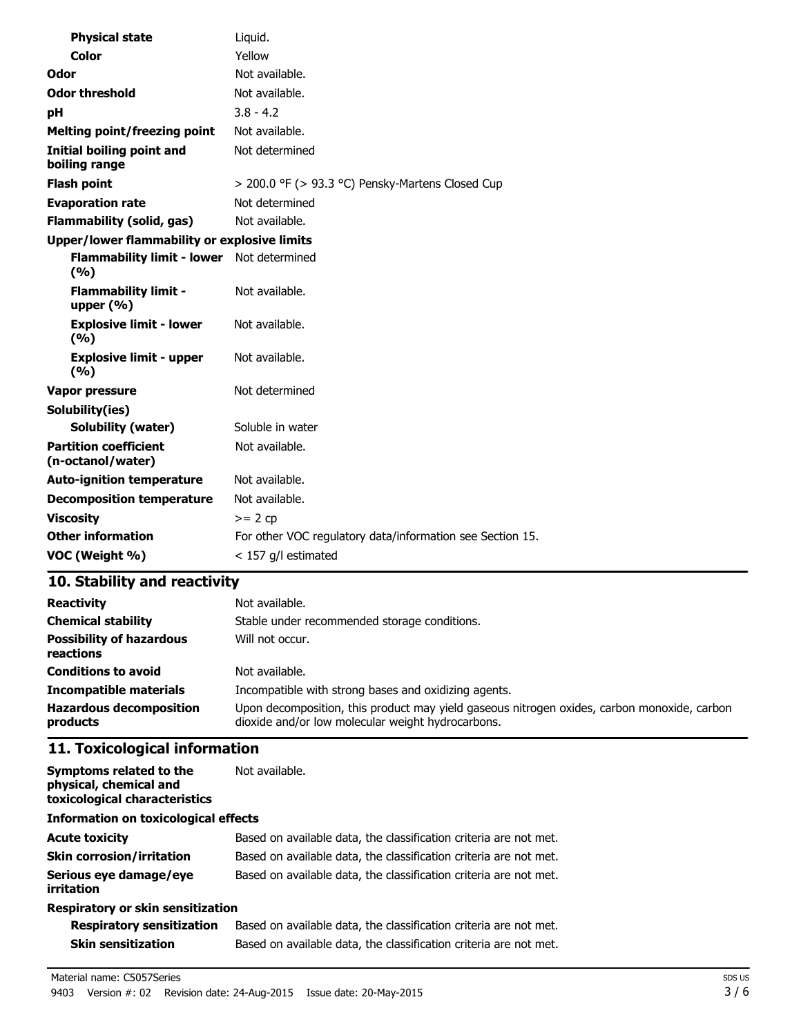| <b>Physical state</b>                               | Liquid.                                                   |
|-----------------------------------------------------|-----------------------------------------------------------|
| Color                                               | Yellow                                                    |
| Odor                                                | Not available.                                            |
| <b>Odor threshold</b>                               | Not available.                                            |
| рH                                                  | $3.8 - 4.2$                                               |
| <b>Melting point/freezing point</b>                 | Not available.                                            |
| <b>Initial boiling point and</b><br>boiling range   | Not determined                                            |
| <b>Flash point</b>                                  | > 200.0 °F (> 93.3 °C) Pensky-Martens Closed Cup          |
| <b>Evaporation rate</b>                             | Not determined                                            |
| <b>Flammability (solid, gas)</b>                    | Not available.                                            |
| <b>Upper/lower flammability or explosive limits</b> |                                                           |
| <b>Flammability limit - lower</b><br>(9/6)          | Not determined                                            |
| <b>Flammability limit -</b><br>upper $(% )$         | Not available.                                            |
| <b>Explosive limit - lower</b><br>(%)               | Not available.                                            |
| <b>Explosive limit - upper</b><br>(%)               | Not available.                                            |
| <b>Vapor pressure</b>                               | Not determined                                            |
| Solubility(ies)                                     |                                                           |
| <b>Solubility (water)</b>                           | Soluble in water                                          |
| <b>Partition coefficient</b><br>(n-octanol/water)   | Not available.                                            |
| <b>Auto-ignition temperature</b>                    | Not available.                                            |
| <b>Decomposition temperature</b>                    | Not available.                                            |
| <b>Viscosity</b>                                    | $>= 2 cp$                                                 |
| <b>Other information</b>                            | For other VOC regulatory data/information see Section 15. |
| VOC (Weight %)                                      | $<$ 157 g/l estimated                                     |

# **10. Stability and reactivity**

| <b>Reactivity</b>                            | Not available.                                                                                                                                   |
|----------------------------------------------|--------------------------------------------------------------------------------------------------------------------------------------------------|
| <b>Chemical stability</b>                    | Stable under recommended storage conditions.                                                                                                     |
| <b>Possibility of hazardous</b><br>reactions | Will not occur.                                                                                                                                  |
| <b>Conditions to avoid</b>                   | Not available.                                                                                                                                   |
| <b>Incompatible materials</b>                | Incompatible with strong bases and oxidizing agents.                                                                                             |
| <b>Hazardous decomposition</b><br>products   | Upon decomposition, this product may yield gaseous nitrogen oxides, carbon monoxide, carbon<br>dioxide and/or low molecular weight hydrocarbons. |

# **11. Toxicological information**

| Symptoms related to the<br>physical, chemical and<br>toxicological characteristics | Not available.                                                    |  |
|------------------------------------------------------------------------------------|-------------------------------------------------------------------|--|
| <b>Information on toxicological effects</b>                                        |                                                                   |  |
| <b>Acute toxicity</b>                                                              | Based on available data, the classification criteria are not met. |  |
| <b>Skin corrosion/irritation</b>                                                   | Based on available data, the classification criteria are not met. |  |
| Serious eye damage/eye<br>irritation                                               | Based on available data, the classification criteria are not met. |  |
| Respiratory or skin sensitization                                                  |                                                                   |  |

| <b>Respiratory sensitization</b> | Based on available data, the classification criteria are not met. |
|----------------------------------|-------------------------------------------------------------------|
| Skin sensitization               | Based on available data, the classification criteria are not met. |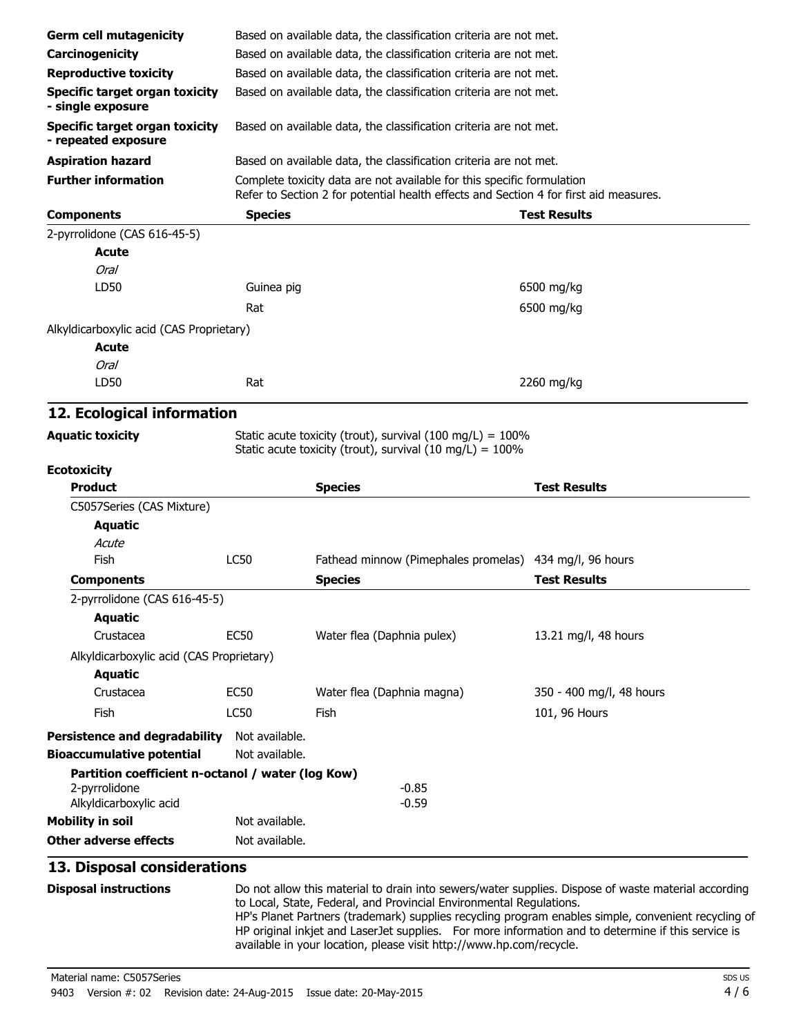| <b>Germ cell mutagenicity</b>                                |                                                                   | Based on available data, the classification criteria are not met.                                                           |                          |  |
|--------------------------------------------------------------|-------------------------------------------------------------------|-----------------------------------------------------------------------------------------------------------------------------|--------------------------|--|
| Carcinogenicity                                              |                                                                   | Based on available data, the classification criteria are not met.                                                           |                          |  |
| <b>Reproductive toxicity</b>                                 |                                                                   | Based on available data, the classification criteria are not met.                                                           |                          |  |
| <b>Specific target organ toxicity</b><br>- single exposure   |                                                                   | Based on available data, the classification criteria are not met.                                                           |                          |  |
| <b>Specific target organ toxicity</b><br>- repeated exposure |                                                                   | Based on available data, the classification criteria are not met.                                                           |                          |  |
| <b>Aspiration hazard</b>                                     | Based on available data, the classification criteria are not met. |                                                                                                                             |                          |  |
| <b>Further information</b>                                   |                                                                   | Complete toxicity data are not available for this specific formulation                                                      |                          |  |
|                                                              |                                                                   | Refer to Section 2 for potential health effects and Section 4 for first aid measures.                                       |                          |  |
| <b>Components</b>                                            | <b>Species</b>                                                    |                                                                                                                             | <b>Test Results</b>      |  |
| 2-pyrrolidone (CAS 616-45-5)                                 |                                                                   |                                                                                                                             |                          |  |
| Acute                                                        |                                                                   |                                                                                                                             |                          |  |
| <b>Oral</b>                                                  |                                                                   |                                                                                                                             |                          |  |
| LD50                                                         | Guinea pig                                                        |                                                                                                                             | 6500 mg/kg               |  |
|                                                              | Rat                                                               |                                                                                                                             | 6500 mg/kg               |  |
| Alkyldicarboxylic acid (CAS Proprietary)                     |                                                                   |                                                                                                                             |                          |  |
| <b>Acute</b>                                                 |                                                                   |                                                                                                                             |                          |  |
| <b>Oral</b>                                                  |                                                                   |                                                                                                                             |                          |  |
| LD50                                                         | Rat                                                               |                                                                                                                             | 2260 mg/kg               |  |
| 12. Ecological information                                   |                                                                   |                                                                                                                             |                          |  |
| <b>Aquatic toxicity</b>                                      |                                                                   | Static acute toxicity (trout), survival (100 mg/L) = $100\%$<br>Static acute toxicity (trout), survival (10 mg/L) = $100\%$ |                          |  |
| <b>Ecotoxicity</b>                                           |                                                                   |                                                                                                                             |                          |  |
|                                                              |                                                                   |                                                                                                                             |                          |  |
| <b>Product</b>                                               |                                                                   | <b>Species</b>                                                                                                              | <b>Test Results</b>      |  |
| C5057Series (CAS Mixture)                                    |                                                                   |                                                                                                                             |                          |  |
| <b>Aquatic</b>                                               |                                                                   |                                                                                                                             |                          |  |
| Acute                                                        |                                                                   |                                                                                                                             |                          |  |
| Fish                                                         | LC50                                                              | Fathead minnow (Pimephales promelas) 434 mg/l, 96 hours                                                                     |                          |  |
| <b>Components</b>                                            |                                                                   | <b>Species</b>                                                                                                              | <b>Test Results</b>      |  |
| 2-pyrrolidone (CAS 616-45-5)                                 |                                                                   |                                                                                                                             |                          |  |
| <b>Aquatic</b>                                               |                                                                   |                                                                                                                             |                          |  |
| Crustacea                                                    | <b>EC50</b>                                                       | Water flea (Daphnia pulex)                                                                                                  | 13.21 mg/l, 48 hours     |  |
| Alkyldicarboxylic acid (CAS Proprietary)                     |                                                                   |                                                                                                                             |                          |  |
| <b>Aquatic</b>                                               |                                                                   |                                                                                                                             |                          |  |
| Crustacea                                                    | <b>EC50</b>                                                       | Water flea (Daphnia magna)                                                                                                  | 350 - 400 mg/l, 48 hours |  |
| <b>Fish</b>                                                  | LC50                                                              | Fish                                                                                                                        | 101, 96 Hours            |  |
| <b>Persistence and degradability</b>                         | Not available.                                                    |                                                                                                                             |                          |  |
| <b>Bioaccumulative potential</b>                             | Not available.                                                    |                                                                                                                             |                          |  |
| Partition coefficient n-octanol / water (log Kow)            |                                                                   |                                                                                                                             |                          |  |
| 2-pyrrolidone                                                |                                                                   | $-0.85$                                                                                                                     |                          |  |
| Alkyldicarboxylic acid                                       |                                                                   | $-0.59$                                                                                                                     |                          |  |
| <b>Mobility in soil</b>                                      | Not available.                                                    |                                                                                                                             |                          |  |
| <b>Other adverse effects</b>                                 | Not available.                                                    |                                                                                                                             |                          |  |
| 13. Disposal considerations                                  |                                                                   |                                                                                                                             |                          |  |

HP's Planet Partners (trademark) supplies recycling program enables simple, convenient recycling of HP original inkjet and LaserJet supplies. For more information and to determine if this service is available in your location, please visit http://www.hp.com/recycle.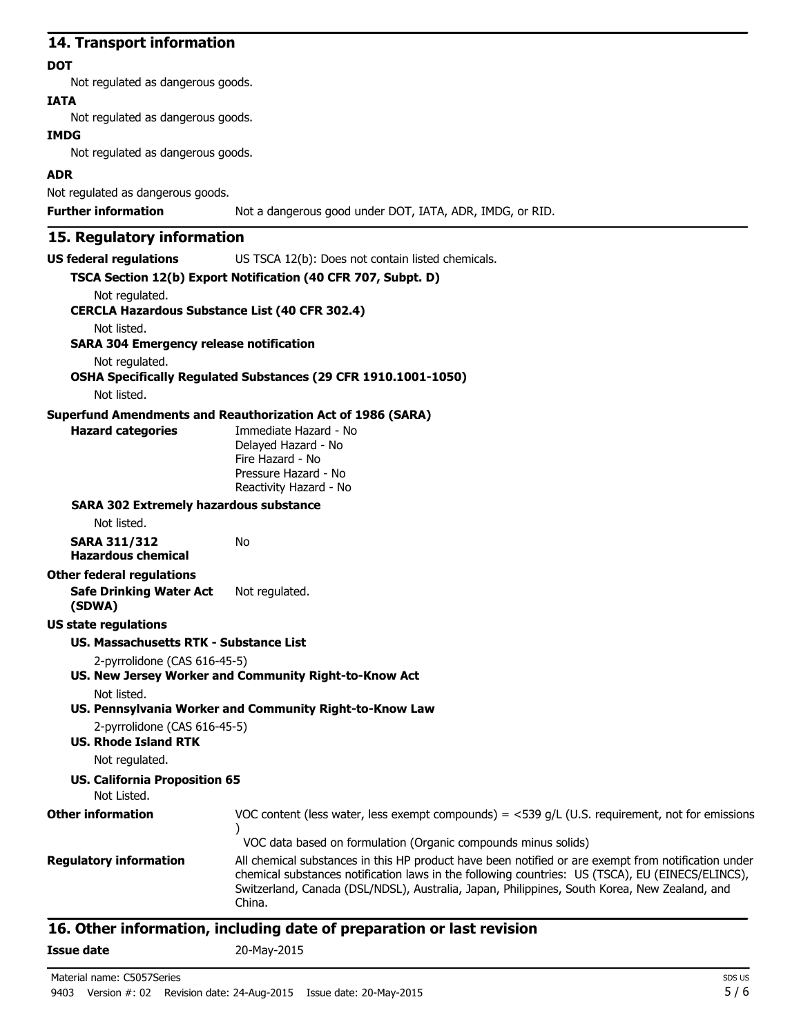### **14. Transport information**

#### **DOT**

Not regulated as dangerous goods.

### **IATA**

Not regulated as dangerous goods.

#### **IMDG**

Not regulated as dangerous goods.

### **ADR**

Not regulated as dangerous goods.

**Further information** Not a dangerous good under DOT, IATA, ADR, IMDG, or RID.

### **15. Regulatory information**

**US federal regulations** US TSCA 12(b): Does not contain listed chemicals.

|                                                                         | TSCA Section 12(b) Export Notification (40 CFR 707, Subpt. D)                                                                                                                                                                                                                                                     |
|-------------------------------------------------------------------------|-------------------------------------------------------------------------------------------------------------------------------------------------------------------------------------------------------------------------------------------------------------------------------------------------------------------|
| Not regulated.<br><b>CERCLA Hazardous Substance List (40 CFR 302.4)</b> |                                                                                                                                                                                                                                                                                                                   |
| Not listed.                                                             |                                                                                                                                                                                                                                                                                                                   |
| <b>SARA 304 Emergency release notification</b>                          |                                                                                                                                                                                                                                                                                                                   |
| Not regulated.                                                          |                                                                                                                                                                                                                                                                                                                   |
| Not listed.                                                             | OSHA Specifically Regulated Substances (29 CFR 1910.1001-1050)                                                                                                                                                                                                                                                    |
|                                                                         | <b>Superfund Amendments and Reauthorization Act of 1986 (SARA)</b>                                                                                                                                                                                                                                                |
| <b>Hazard categories</b>                                                | Immediate Hazard - No<br>Delayed Hazard - No<br>Fire Hazard - No<br>Pressure Hazard - No<br>Reactivity Hazard - No                                                                                                                                                                                                |
| <b>SARA 302 Extremely hazardous substance</b>                           |                                                                                                                                                                                                                                                                                                                   |
| Not listed.                                                             |                                                                                                                                                                                                                                                                                                                   |
| <b>SARA 311/312</b><br><b>Hazardous chemical</b>                        | <b>No</b>                                                                                                                                                                                                                                                                                                         |
| <b>Other federal regulations</b>                                        |                                                                                                                                                                                                                                                                                                                   |
| <b>Safe Drinking Water Act</b><br>(SDWA)                                | Not regulated.                                                                                                                                                                                                                                                                                                    |
| <b>US state regulations</b>                                             |                                                                                                                                                                                                                                                                                                                   |
| <b>US. Massachusetts RTK - Substance List</b>                           |                                                                                                                                                                                                                                                                                                                   |
| 2-pyrrolidone (CAS 616-45-5)                                            |                                                                                                                                                                                                                                                                                                                   |
|                                                                         | US. New Jersey Worker and Community Right-to-Know Act                                                                                                                                                                                                                                                             |
| Not listed.                                                             |                                                                                                                                                                                                                                                                                                                   |
|                                                                         | US. Pennsylvania Worker and Community Right-to-Know Law                                                                                                                                                                                                                                                           |
| 2-pyrrolidone (CAS 616-45-5)<br><b>US. Rhode Island RTK</b>             |                                                                                                                                                                                                                                                                                                                   |
| Not regulated.                                                          |                                                                                                                                                                                                                                                                                                                   |
| <b>US. California Proposition 65</b><br>Not Listed.                     |                                                                                                                                                                                                                                                                                                                   |
| <b>Other information</b>                                                | VOC content (less water, less exempt compounds) = $<$ 539 g/L (U.S. requirement, not for emissions<br>$\lambda$                                                                                                                                                                                                   |
|                                                                         | VOC data based on formulation (Organic compounds minus solids)                                                                                                                                                                                                                                                    |
| <b>Regulatory information</b>                                           | All chemical substances in this HP product have been notified or are exempt from notification under<br>chemical substances notification laws in the following countries: US (TSCA), EU (EINECS/ELINCS),<br>Switzerland, Canada (DSL/NDSL), Australia, Japan, Philippines, South Korea, New Zealand, and<br>China. |

# **16. Other information, including date of preparation or last revision**

**Issue date** 20-May-2015